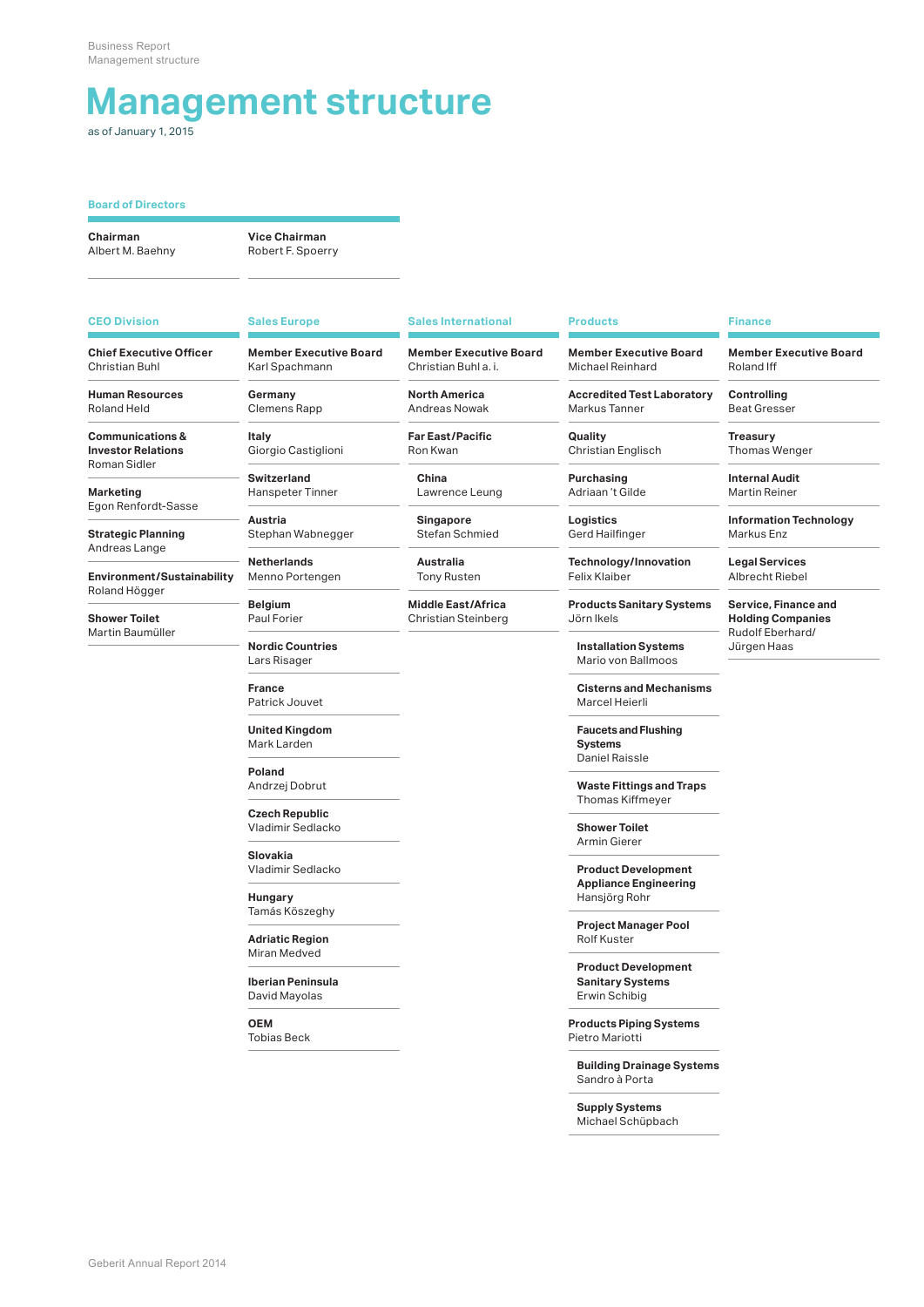## **Management structure**

as of January 1, 2015

### **Board of Directors**

**Chairman** Albert M. Baehny

**Vice Chairman** Robert F. Spoerry

**Chief Executive Officer** Christian Buhl

**Human Resources** Roland Held

**Communications & Investor Relations** Roman Sidler

**Marketing** Egon Renfordt-Sasse

**Strategic Planning** Andreas Lange

**Environment/Sustainability** Roland Högger

**Shower Toilet** Martin Baumüller

**CEO Division Sales Europe Sales International Products Finance**

**Germany**

**Italy** Giorgio Castiglioni

Clemens Rapp

**Switzerland** Hanspeter Tinner

**Austria** Stephan Wabnegger

**Netherlands** Menno Portengen

**Belgium** Paul Forier

**Nordic Countries** Lars Risager

**France** Patrick Jouvet

**United Kingdom** Mark Larden

**Poland** Andrzej Dobrut

**Czech Republic** Vladimir Sedlacko

**Slovakia** Vladimir Sedlacko

**Hungary** Tamás Köszeghy

**Adriatic Region** Miran Medved

**Iberian Peninsula** David Mayolas

**OEM**

Tobias Beck

Andreas Nowak **Far East/Pacific**

**Member Executive Board** Christian Buhl a. i. **North America**

Ron Kwan

**China** Lawrence Leung

**Singapore** Stefan Schmied

**Australia** Tony Rusten

**Middle East/Africa** Christian Steinberg

**Member Executive Board** Michael Reinhard

**Accredited Test Laboratory** Markus Tanner

**Quality** Christian Englisch

**Purchasing** Adriaan 't Gilde

**Logistics** Gerd Hailfinger

**Technology/Innovation** Felix Klaiber

**Products Sanitary Systems** Jörn Ikels

**Installation Systems** Mario von Ballmoos

**Cisterns and Mechanisms** Marcel Heierli

**Faucets and Flushing Systems** Daniel Raissle

**Waste Fittings and Traps** Thomas Kiffmeyer

**Shower Toilet** Armin Gierer

**Product Development Appliance Engineering** Hansjörg Rohr

**Project Manager Pool** Rolf Kuster

**Product Development Sanitary Systems** Erwin Schibig

**Products Piping Systems** Pietro Mariotti

**Building Drainage Systems** Sandro à Porta

**Supply Systems**

Michael Schüpbach

**Member Executive Board** Roland Iff

**Controlling** Beat Gresser

**Treasury** Thomas Wenger

**Internal Audit** Martin Reiner

**Information Technology** Markus Enz

**Legal Services** Albrecht Riebel

**Service, Finance and Holding Companies** Rudolf Eberhard/ Jürgen Haas

**Member Executive Board** Karl Spachmann